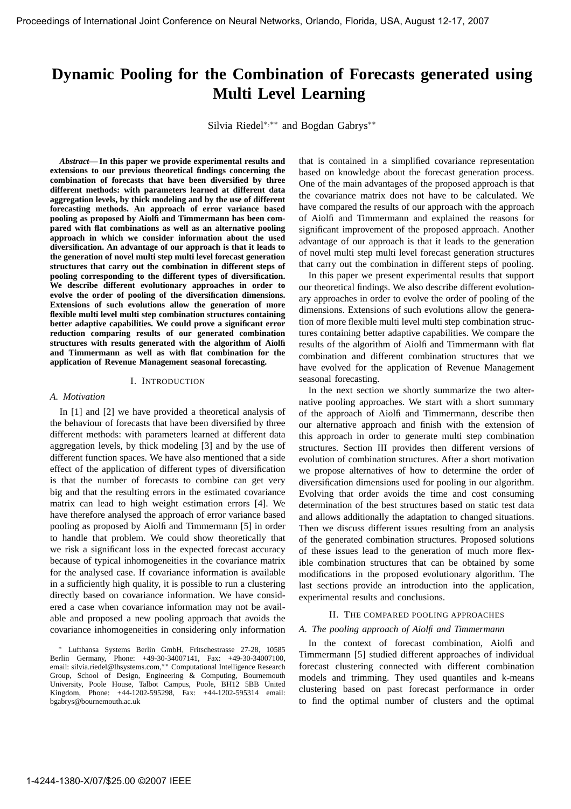# **Dynamic Pooling for the Combination of Forecasts generated using Multi Level Learning**

Silvia Riedel∗,∗∗ and Bogdan Gabrys∗∗

*Abstract***— In this paper we provide experimental results and extensions to our previous theoretical findings concerning the combination of forecasts that have been diversified by three different methods: with parameters learned at different data aggregation levels, by thick modeling and by the use of different forecasting methods. An approach of error variance based pooling as proposed by Aiolfi and Timmermann has been compared with flat combinations as well as an alternative pooling approach in which we consider information about the used diversification. An advantage of our approach is that it leads to the generation of novel multi step multi level forecast generation structures that carry out the combination in different steps of pooling corresponding to the different types of diversification. We describe different evolutionary approaches in order to evolve the order of pooling of the diversification dimensions. Extensions of such evolutions allow the generation of more flexible multi level multi step combination structures containing better adaptive capabilities. We could prove a significant error reduction comparing results of our generated combination structures with results generated with the algorithm of Aiolfi and Timmermann as well as with flat combination for the application of Revenue Management seasonal forecasting.**

#### I. INTRODUCTION

#### *A. Motivation*

In [1] and [2] we have provided a theoretical analysis of the behaviour of forecasts that have been diversified by three different methods: with parameters learned at different data aggregation levels, by thick modeling [3] and by the use of different function spaces. We have also mentioned that a side effect of the application of different types of diversification is that the number of forecasts to combine can get very big and that the resulting errors in the estimated covariance matrix can lead to high weight estimation errors [4]. We have therefore analysed the approach of error variance based pooling as proposed by Aiolfi and Timmermann [5] in order to handle that problem. We could show theoretically that we risk a significant loss in the expected forecast accuracy because of typical inhomogeneities in the covariance matrix for the analysed case. If covariance information is available in a sufficiently high quality, it is possible to run a clustering directly based on covariance information. We have considered a case when covariance information may not be available and proposed a new pooling approach that avoids the covariance inhomogeneities in considering only information

<sup>∗</sup> Lufthansa Systems Berlin GmbH, Fritschestrasse 27-28, 10585 Berlin Germany, Phone: +49-30-34007141, Fax: +49-30-34007100, email: silvia.riedel@lhsystems.com,∗∗ Computational Intelligence Research Group, School of Design, Engineering & Computing, Bournemouth University, Poole House, Talbot Campus, Poole, BH12 5BB United Kingdom, Phone: +44-1202-595298, Fax: +44-1202-595314 email: bgabrys@bournemouth.ac.uk

that is contained in a simplified covariance representation based on knowledge about the forecast generation process. One of the main advantages of the proposed approach is that the covariance matrix does not have to be calculated. We have compared the results of our approach with the approach of Aiolfi and Timmermann and explained the reasons for significant improvement of the proposed approach. Another advantage of our approach is that it leads to the generation of novel multi step multi level forecast generation structures that carry out the combination in different steps of pooling.

In this paper we present experimental results that support our theoretical findings. We also describe different evolutionary approaches in order to evolve the order of pooling of the dimensions. Extensions of such evolutions allow the generation of more flexible multi level multi step combination structures containing better adaptive capabilities. We compare the results of the algorithm of Aiolfi and Timmermann with flat combination and different combination structures that we have evolved for the application of Revenue Management seasonal forecasting.

In the next section we shortly summarize the two alternative pooling approaches. We start with a short summary of the approach of Aiolfi and Timmermann, describe then our alternative approach and finish with the extension of this approach in order to generate multi step combination structures. Section III provides then different versions of evolution of combination structures. After a short motivation we propose alternatives of how to determine the order of diversification dimensions used for pooling in our algorithm. Evolving that order avoids the time and cost consuming determination of the best structures based on static test data and allows additionally the adaptation to changed situations. Then we discuss different issues resulting from an analysis of the generated combination structures. Proposed solutions of these issues lead to the generation of much more flexible combination structures that can be obtained by some modifications in the proposed evolutionary algorithm. The last sections provide an introduction into the application, experimental results and conclusions.

## II. THE COMPARED POOLING APPROACHES

#### *A. The pooling approach of Aiolfi and Timmermann*

In the context of forecast combination, Aiolfi and Timmermann [5] studied different approaches of individual forecast clustering connected with different combination models and trimming. They used quantiles and k-means clustering based on past forecast performance in order to find the optimal number of clusters and the optimal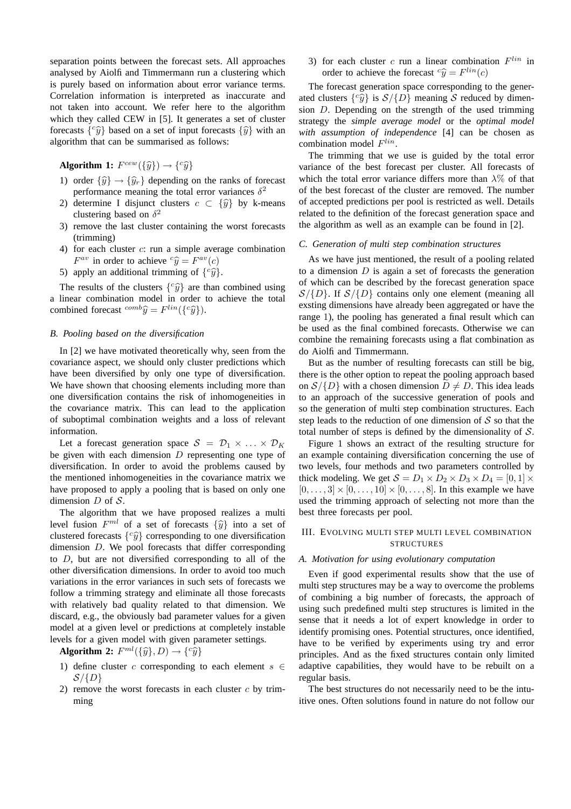separation points between the forecast sets. All approaches analysed by Aiolfi and Timmermann run a clustering which is purely based on information about error variance terms. Correlation information is interpreted as inaccurate and not taken into account. We refer here to the algorithm which they called CEW in [5]. It generates a set of cluster forecasts  $\{\hat{y}\}\$  based on a set of input forecasts  $\{\hat{y}\}\$  with an algorithm that can be summarised as follows:

**Algorithm 1:**  $F^{cew}(\{\hat{y}\}) \rightarrow \{^c\hat{y}\}$ 

- 1) order  $\{\widehat{y}\}\rightarrow\{\widehat{y}_r\}$  depending on the ranks of forecast performance meaning the total error variances  $\delta^2$
- 2) determine I disjunct clusters  $c \subset {\hat{y}}$  by k-means clustering based on  $\delta^2$
- 3) remove the last cluster containing the worst forecasts (trimming)
- 4) for each cluster c: run a simple average combination  $F^{av}$  in order to achieve  ${}^{c}\hat{y} = F^{av}(c)$
- 5) apply an additional trimming of  $\{\,^c\hat{y}\}.$

The results of the clusters  $\{\,^c\hat{y}\}\,$  are than combined using a linear combination model in order to achieve the total combined forecast  ${}^{comb}\hat{y} = F^{lin}(\lbrace {}^{c}\hat{y}\rbrace)$ .

## *B. Pooling based on the diversification*

In [2] we have motivated theoretically why, seen from the covariance aspect, we should only cluster predictions which have been diversified by only one type of diversification. We have shown that choosing elements including more than one diversification contains the risk of inhomogeneities in the covariance matrix. This can lead to the application of suboptimal combination weights and a loss of relevant information.

Let a forecast generation space  $S = \mathcal{D}_1 \times \ldots \times \mathcal{D}_K$ be given with each dimension  $D$  representing one type of diversification. In order to avoid the problems caused by the mentioned inhomogeneities in the covariance matrix we have proposed to apply a pooling that is based on only one dimension  $D$  of  $S$ .

The algorithm that we have proposed realizes a multi level fusion  $F^{ml}$  of a set of forecasts  $\{\widehat{y}\}\$ into a set of clustered forecasts  $\{c\hat{y}\}\)$  corresponding to one diversification dimension D. We pool forecasts that differ corresponding to D, but are not diversified corresponding to all of the other diversification dimensions. In order to avoid too much variations in the error variances in such sets of forecasts we follow a trimming strategy and eliminate all those forecasts with relatively bad quality related to that dimension. We discard, e.g., the obviously bad parameter values for a given model at a given level or predictions at completely instable levels for a given model with given parameter settings.

**Algorithm 2:**  $F^{ml}(\{\widehat{y}\}, D) \rightarrow \{c\widehat{y}\}$ 

- 1) define cluster c corresponding to each element  $s \in$  $S/\{D\}$
- 2) remove the worst forecasts in each cluster  $c$  by trimming

3) for each cluster c run a linear combination  $F^{lin}$  in order to achieve the forecast  ${}^{c}\hat{y} = F^{lin}(c)$ 

The forecast generation space corresponding to the generated clusters  $\{c_j^{\circ}\}\$ is  $S/\{D\}$  meaning S reduced by dimension D. Depending on the strength of the used trimming strategy the *simple average model* or the *optimal model with assumption of independence* [4] can be chosen as combination model  $F^{lin}$ .

The trimming that we use is guided by the total error variance of the best forecast per cluster. All forecasts of which the total error variance differs more than  $\lambda\%$  of that of the best forecast of the cluster are removed. The number of accepted predictions per pool is restricted as well. Details related to the definition of the forecast generation space and the algorithm as well as an example can be found in [2].

#### *C. Generation of multi step combination structures*

As we have just mentioned, the result of a pooling related to a dimension  $D$  is again a set of forecasts the generation of which can be described by the forecast generation space  $S/\{D\}$ . If  $S/\{D\}$  contains only one element (meaning all exsting dimensions have already been aggregated or have the range 1), the pooling has generated a final result which can be used as the final combined forecasts. Otherwise we can combine the remaining forecasts using a flat combination as do Aiolfi and Timmermann.

But as the number of resulting forecasts can still be big, there is the other option to repeat the pooling approach based on  $S/\{D\}$  with a chosen dimension  $D \neq D$ . This idea leads to an approach of the successive generation of pools and so the generation of multi step combination structures. Each step leads to the reduction of one dimension of  $S$  so that the total number of steps is defined by the dimensionality of  $S$ .

Figure 1 shows an extract of the resulting structure for an example containing diversification concerning the use of two levels, four methods and two parameters controlled by thick modeling. We get  $S = D_1 \times D_2 \times D_3 \times D_4 = [0, 1] \times$  $[0, ..., 3] \times [0, ..., 10] \times [0, ..., 8]$ . In this example we have used the trimming approach of selecting not more than the best three forecasts per pool.

# III. EVOLVING MULTI STEP MULTI LEVEL COMBINATION **STRUCTURES**

## *A. Motivation for using evolutionary computation*

Even if good experimental results show that the use of multi step structures may be a way to overcome the problems of combining a big number of forecasts, the approach of using such predefined multi step structures is limited in the sense that it needs a lot of expert knowledge in order to identify promising ones. Potential structures, once identified, have to be verified by experiments using try and error principles. And as the fixed structures contain only limited adaptive capabilities, they would have to be rebuilt on a regular basis.

The best structures do not necessarily need to be the intuitive ones. Often solutions found in nature do not follow our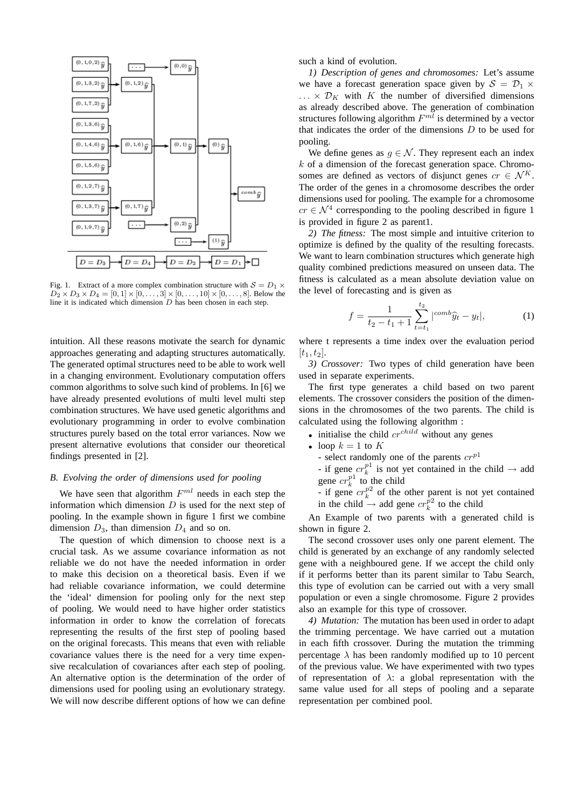

Fig. 1. Extract of a more complex combination structure with  $S = D_1 \times$  $D_2 \times D_3 \times D_4 = [0, 1] \times [0, \dots, 3] \times [0, \dots, 10] \times [0, \dots, 8]$ . Below the line it is indicated which dimension  $D$  has been chosen in each step.

intuition. All these reasons motivate the search for dynamic approaches generating and adapting structures automatically. The generated optimal structures need to be able to work well in a changing environment. Evolutionary computation offers common algorithms to solve such kind of problems. In [6] we have already presented evolutions of multi level multi step combination structures. We have used genetic algorithms and evolutionary programming in order to evolve combination structures purely based on the total error variances. Now we present alternative evolutions that consider our theoretical findings presented in [2].

# *B. Evolving the order of dimensions used for pooling*

We have seen that algorithm  $F<sup>ml</sup>$  needs in each step the information which dimension  $D$  is used for the next step of pooling. In the example shown in figure 1 first we combine dimension  $D_3$ , than dimension  $D_4$  and so on.

The question of which dimension to choose next is a crucial task. As we assume covariance information as not reliable we do not have the needed information in order to make this decision on a theoretical basis. Even if we had reliable covariance information, we could determine the 'ideal' dimension for pooling only for the next step of pooling. We would need to have higher order statistics information in order to know the correlation of forecats representing the results of the first step of pooling based on the original forecasts. This means that even with reliable covariance values there is the need for a very time expensive recalculation of covariances after each step of pooling. An alternative option is the determination of the order of dimensions used for pooling using an evolutionary strategy. We will now describe different options of how we can define

such a kind of evolution.

*1) Description of genes and chromosomes:* Let's assume we have a forecast generation space given by  $S = \mathcal{D}_1 \times$  $\ldots \times \mathcal{D}_K$  with K the number of diversified dimensions as already described above. The generation of combination structures following algorithm  $F^{ml}$  is determined by a vector that indicates the order of the dimensions  $D$  to be used for pooling.

We define genes as  $g \in \mathcal{N}$ . They represent each an index  $k$  of a dimension of the forecast generation space. Chromosomes are defined as vectors of disjunct genes  $cr \in \mathcal{N}^K$ . The order of the genes in a chromosome describes the order dimensions used for pooling. The example for a chromosome  $cr \in \mathcal{N}^4$  corresponding to the pooling described in figure 1 is provided in figure 2 as parent1.

*2) The fitness:* The most simple and intuitive criterion to optimize is defined by the quality of the resulting forecasts. We want to learn combination structures which generate high quality combined predictions measured on unseen data. The fitness is calculated as a mean absolute deviation value on the level of forecasting and is given as

$$
f = \frac{1}{t_2 - t_1 + 1} \sum_{t=t_1}^{t_2} |^{comb} \hat{y}_t - y_t|,
$$
 (1)

where t represents a time index over the evaluation period  $[t_1, t_2]$ .

*3) Crossover:* Two types of child generation have been used in separate experiments.

The first type generates a child based on two parent elements. The crossover considers the position of the dimensions in the chromosomes of the two parents. The child is calculated using the following algorithm :

- initialise the child  $cr^{child}$  without any genes
- loop  $k = 1$  to K
	- select randomly one of the parents  $cr^{p1}$
	- if gene  $cr_k^{p_1}$  is not yet contained in the child  $\rightarrow$  add gene  $cr_k^{p_1}$  to the child
	- if gene  $cr_k^{p2}$  of the other parent is not yet contained in the child  $\rightarrow$  add gene  $cr_k^{\hat{p}2}$  to the child

An Example of two parents with a generated child is shown in figure 2.

The second crossover uses only one parent element. The child is generated by an exchange of any randomly selected gene with a neighboured gene. If we accept the child only if it performs better than its parent similar to Tabu Search, this type of evolution can be carried out with a very small population or even a single chromosome. Figure 2 provides also an example for this type of crossover.

*4) Mutation:* The mutation has been used in order to adapt the trimming percentage. We have carried out a mutation in each fifth crossover. During the mutation the trimming percentage  $\lambda$  has been randomly modified up to 10 percent of the previous value. We have experimented with two types of representation of  $\lambda$ : a global representation with the same value used for all steps of pooling and a separate representation per combined pool.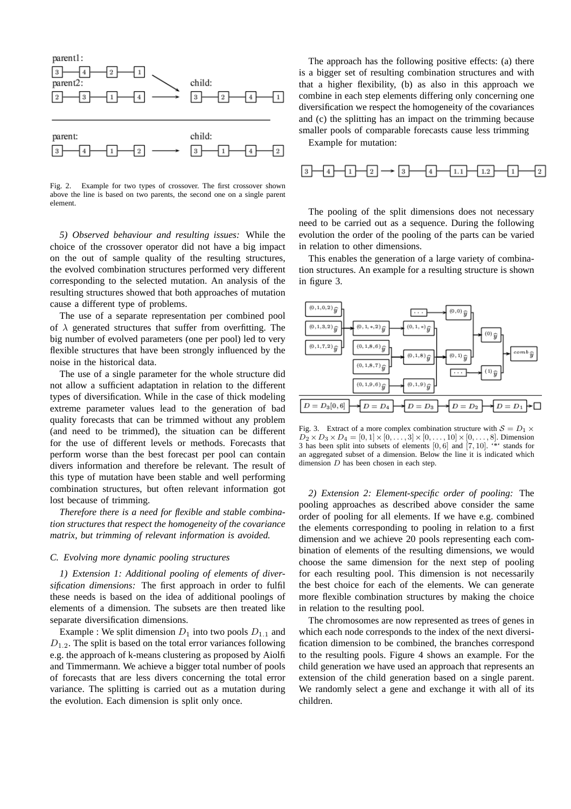

Fig. 2. Example for two types of crossover. The first crossover shown above the line is based on two parents, the second one on a single parent element.

*5) Observed behaviour and resulting issues:* While the choice of the crossover operator did not have a big impact on the out of sample quality of the resulting structures, the evolved combination structures performed very different corresponding to the selected mutation. An analysis of the resulting structures showed that both approaches of mutation cause a different type of problems.

The use of a separate representation per combined pool of  $\lambda$  generated structures that suffer from overfitting. The big number of evolved parameters (one per pool) led to very flexible structures that have been strongly influenced by the noise in the historical data.

The use of a single parameter for the whole structure did not allow a sufficient adaptation in relation to the different types of diversification. While in the case of thick modeling extreme parameter values lead to the generation of bad quality forecasts that can be trimmed without any problem (and need to be trimmed), the situation can be different for the use of different levels or methods. Forecasts that perform worse than the best forecast per pool can contain divers information and therefore be relevant. The result of this type of mutation have been stable and well performing combination structures, but often relevant information got lost because of trimming.

*Therefore there is a need for flexible and stable combination structures that respect the homogeneity of the covariance matrix, but trimming of relevant information is avoided.*

#### *C. Evolving more dynamic pooling structures*

*1) Extension 1: Additional pooling of elements of diversification dimensions:* The first approach in order to fulfil these needs is based on the idea of additional poolings of elements of a dimension. The subsets are then treated like separate diversification dimensions.

Example : We split dimension  $D_1$  into two pools  $D_{1,1}$  and  $D_{1,2}$ . The split is based on the total error variances following e.g. the approach of k-means clustering as proposed by Aiolfi and Timmermann. We achieve a bigger total number of pools of forecasts that are less divers concerning the total error variance. The splitting is carried out as a mutation during the evolution. Each dimension is split only once.

The approach has the following positive effects: (a) there is a bigger set of resulting combination structures and with that a higher flexibility, (b) as also in this approach we combine in each step elements differing only concerning one diversification we respect the homogeneity of the covariances and (c) the splitting has an impact on the trimming because smaller pools of comparable forecasts cause less trimming

Example for mutation:



The pooling of the split dimensions does not necessary need to be carried out as a sequence. During the following evolution the order of the pooling of the parts can be varied in relation to other dimensions.

This enables the generation of a large variety of combination structures. An example for a resulting structure is shown in figure 3.



Fig. 3. Extract of a more complex combination structure with  $S = D_1 \times$  $D_2 \times D_3 \times D_4 = [0, 1] \times [0, \dots, 3] \times [0, \dots, 10] \times [0, \dots, 8]$ . Dimension 3 has been split into subsets of elements  $[0, 6]$  and  $[7, 10]$ . "\*" stands for an aggregated subset of a dimension. Below the line it is indicated which dimension D has been chosen in each step.

*2) Extension 2: Element-specific order of pooling:* The pooling approaches as described above consider the same order of pooling for all elements. If we have e.g. combined the elements corresponding to pooling in relation to a first dimension and we achieve 20 pools representing each combination of elements of the resulting dimensions, we would choose the same dimension for the next step of pooling for each resulting pool. This dimension is not necessarily the best choice for each of the elements. We can generate more flexible combination structures by making the choice in relation to the resulting pool.

The chromosomes are now represented as trees of genes in which each node corresponds to the index of the next diversification dimension to be combined, the branches correspond to the resulting pools. Figure 4 shows an example. For the child generation we have used an approach that represents an extension of the child generation based on a single parent. We randomly select a gene and exchange it with all of its children.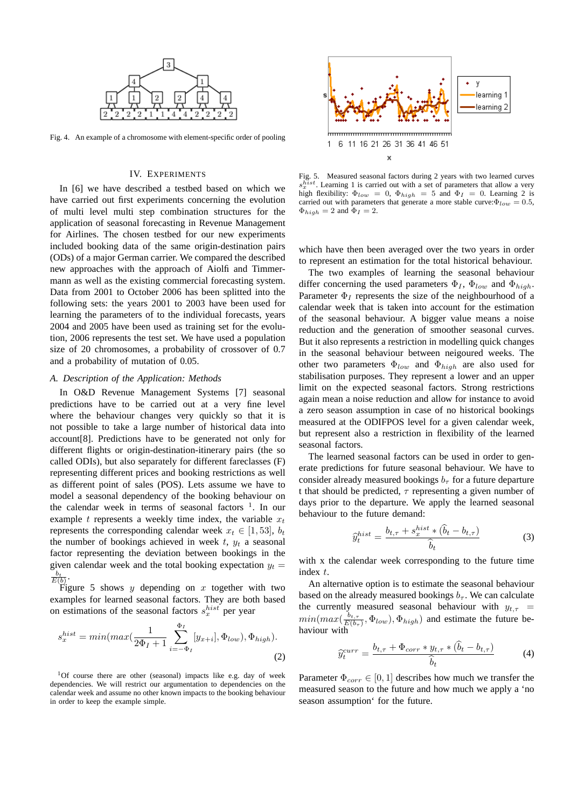

Fig. 4. An example of a chromosome with element-specific order of pooling

## IV. EXPERIMENTS

In [6] we have described a testbed based on which we have carried out first experiments concerning the evolution of multi level multi step combination structures for the application of seasonal forecasting in Revenue Management for Airlines. The chosen testbed for our new experiments included booking data of the same origin-destination pairs (ODs) of a major German carrier. We compared the described new approaches with the approach of Aiolfi and Timmermann as well as the existing commercial forecasting system. Data from 2001 to October 2006 has been splitted into the following sets: the years 2001 to 2003 have been used for learning the parameters of to the individual forecasts, years 2004 and 2005 have been used as training set for the evolution, 2006 represents the test set. We have used a population size of 20 chromosomes, a probability of crossover of 0.7 and a probability of mutation of 0.05.

## *A. Description of the Application: Methods*

In O&D Revenue Management Systems [7] seasonal predictions have to be carried out at a very fine level where the behaviour changes very quickly so that it is not possible to take a large number of historical data into account[8]. Predictions have to be generated not only for different flights or origin-destination-itinerary pairs (the so called ODIs), but also separately for different fareclasses (F) representing different prices and booking restrictions as well as different point of sales (POS). Lets assume we have to model a seasonal dependency of the booking behaviour on the calendar week in terms of seasonal factors  $\frac{1}{1}$ . In our example t represents a weekly time index, the variable  $x_t$ represents the corresponding calendar week  $x_t \in [1, 53]$ ,  $b_t$ the number of bookings achieved in week  $t$ ,  $y_t$  a seasonal factor representing the deviation between bookings in the given calendar week and the total booking expectation  $y_t =$  $\frac{b_t}{E(b)}$ .

Figure 5 shows y depending on x together with two examples for learned seasonal factors. They are both based on estimations of the seasonal factors  $s_x^{hist}$  per year

$$
s_x^{hist} = min(max(\frac{1}{2\Phi_I + 1} \sum_{i=-\Phi_I}^{\Phi_I} [y_{x+i}], \Phi_{low}), \Phi_{high}).
$$
\n(2)

<sup>1</sup>Of course there are other (seasonal) impacts like e.g. day of week dependencies. We will restrict our argumentation to dependencies on the calendar week and assume no other known impacts to the booking behaviour in order to keep the example simple.



Fig. 5. Measured seasonal factors during 2 years with two learned curves s  $\frac{h}{x}$ . Learning 1 is carried out with a set of parameters that allow a very high flexibility:  $\Phi_{low} = 0$ ,  $\Phi_{high} = 5$  and  $\Phi_{I} = 0$ . Learning 2 is carried out with parameters that generate a more stable curve: $\Phi_{low} = 0.5$ ,  $\Phi_{high} = 2$  and  $\Phi_I = 2$ .

which have then been averaged over the two years in order to represent an estimation for the total historical behaviour.

The two examples of learning the seasonal behaviour differ concerning the used parameters  $\Phi_I$ ,  $\Phi_{low}$  and  $\Phi_{high}$ . Parameter  $\Phi_I$  represents the size of the neighbourhood of a calendar week that is taken into account for the estimation of the seasonal behaviour. A bigger value means a noise reduction and the generation of smoother seasonal curves. But it also represents a restriction in modelling quick changes in the seasonal behaviour between neigoured weeks. The other two parameters  $\Phi_{low}$  and  $\Phi_{high}$  are also used for stabilisation purposes. They represent a lower and an upper limit on the expected seasonal factors. Strong restrictions again mean a noise reduction and allow for instance to avoid a zero season assumption in case of no historical bookings measured at the ODIFPOS level for a given calendar week, but represent also a restriction in flexibility of the learned seasonal factors.

The learned seasonal factors can be used in order to generate predictions for future seasonal behaviour. We have to consider already measured bookings  $b<sub>\tau</sub>$  for a future departure t that should be predicted,  $\tau$  representing a given number of days prior to the departure. We apply the learned seasonal behaviour to the future demand:

$$
\widehat{y}_t^{hist} = \frac{b_{t,\tau} + s_x^{hist} \ast (\widehat{b}_t - b_{t,\tau})}{\widehat{b}_t} \tag{3}
$$

with x the calendar week corresponding to the future time index t.

An alternative option is to estimate the seasonal behaviour based on the already measured bookings  $b_{\tau}$ . We can calculate the currently measured seasonal behaviour with  $y_{t,\tau}$  =  $min(max(\frac{b_{t,\tau}}{E(h)})$  $\frac{b_{t,\tau}}{E(b_{\tau})}, \Phi_{low}), \Phi_{high}$  and estimate the future behaviour with

$$
\widehat{y}_t^{curr} = \frac{b_{t,\tau} + \Phi_{corr} * y_{t,\tau} * (\widehat{b}_t - b_{t,\tau})}{\widehat{b}_t} \tag{4}
$$

Parameter  $\Phi_{corr} \in [0, 1]$  describes how much we transfer the measured season to the future and how much we apply a 'no season assumption' for the future.